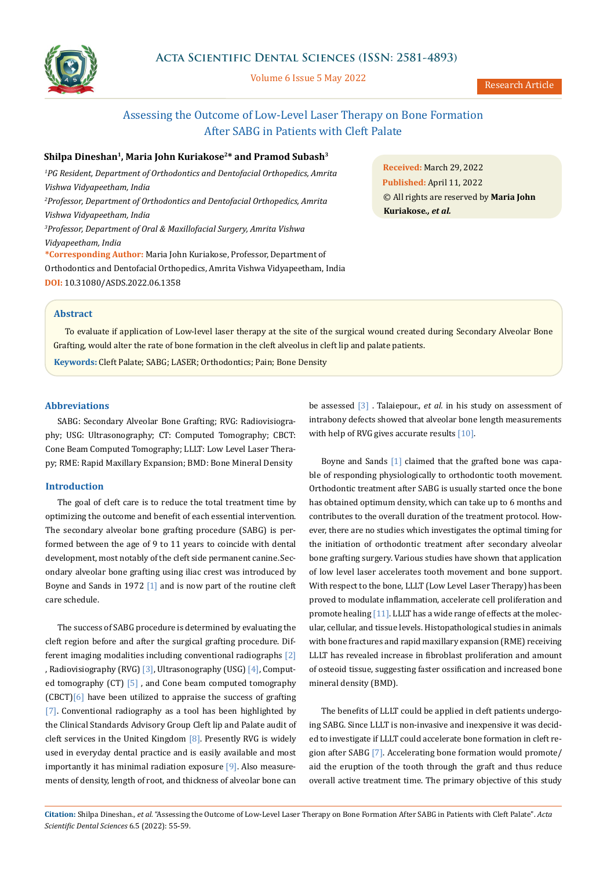

Volume 6 Issue 5 May 2022

# Assessing the Outcome of Low-Level Laser Therapy on Bone Formation After SABG in Patients with Cleft Palate

## Shilpa Dineshan<sup>1</sup>, Maria John Kuriakose<sup>2\*</sup> and Pramod Subash<sup>3</sup>

<sup>1</sup> PG Resident, Department of Orthodontics and Dentofacial Orthopedics, Amrita *Vishwa Vidyapeetham, India 2 Professor, Department of Orthodontics and Dentofacial Orthopedics, Amrita Vishwa Vidyapeetham, India 3 Professor, Department of Oral & Maxillofacial Surgery, Amrita Vishwa Vidyapeetham, India*  **\*Corresponding Author:** Maria John Kuriakose, Professor, Department of Orthodontics and Dentofacial Orthopedics, Amrita Vishwa Vidyapeetham, India **DOI:** [10.31080/ASDS.2022.06.1358](https://actascientific.com/ASDS/pdf/ASDS-06-1358.pdf)

**Received:** March 29, 2022 **Published:** April 11, 2022 © All rights are reserved by **Maria John Kuriakose***., et al.*

# **Abstract**

To evaluate if application of Low-level laser therapy at the site of the surgical wound created during Secondary Alveolar Bone Grafting, would alter the rate of bone formation in the cleft alveolus in cleft lip and palate patients.

**Keywords:** Cleft Palate; SABG; LASER; Orthodontics; Pain; Bone Density

## **Abbreviations**

SABG: Secondary Alveolar Bone Grafting; RVG: Radiovisiography; USG: Ultrasonography; CT: Computed Tomography; CBCT: Cone Beam Computed Tomography; LLLT: Low Level Laser Therapy; RME: Rapid Maxillary Expansion; BMD: Bone Mineral Density

#### **Introduction**

The goal of cleft care is to reduce the total treatment time by optimizing the outcome and benefit of each essential intervention. The secondary alveolar bone grafting procedure (SABG) is performed between the age of 9 to 11 years to coincide with dental development, most notably of the cleft side permanent canine.Secondary alveolar bone grafting using iliac crest was introduced by Boyne and Sands in 1972 [1] and is now part of the routine cleft care schedule.

The success of SABG procedure is determined by evaluating the cleft region before and after the surgical grafting procedure. Different imaging modalities including conventional radiographs [2] , Radiovisiography (RVG) [3], Ultrasonography (USG) [4], Computed tomography (CT) [5] , and Cone beam computed tomography (CBCT)[6] have been utilized to appraise the success of grafting [7]. Conventional radiography as a tool has been highlighted by the Clinical Standards Advisory Group Cleft lip and Palate audit of cleft services in the United Kingdom [8]. Presently RVG is widely used in everyday dental practice and is easily available and most importantly it has minimal radiation exposure [9]. Also measurements of density, length of root, and thickness of alveolar bone can

be assessed [3] . Talaiepour., *et al.* in his study on assessment of intrabony defects showed that alveolar bone length measurements with help of RVG gives accurate results [10].

Boyne and Sands [1] claimed that the grafted bone was capable of responding physiologically to orthodontic tooth movement. Orthodontic treatment after SABG is usually started once the bone has obtained optimum density, which can take up to 6 months and contributes to the overall duration of the treatment protocol. However, there are no studies which investigates the optimal timing for the initiation of orthodontic treatment after secondary alveolar bone grafting surgery. Various studies have shown that application of low level laser accelerates tooth movement and bone support. With respect to the bone, LLLT (Low Level Laser Therapy) has been proved to modulate inflammation, accelerate cell proliferation and promote healing [11]. LLLT has a wide range of effects at the molecular, cellular, and tissue levels. Histopathological studies in animals with bone fractures and rapid maxillary expansion (RME) receiving LLLT has revealed increase in fibroblast proliferation and amount of osteoid tissue, suggesting faster ossification and increased bone mineral density (BMD).

The benefits of LLLT could be applied in cleft patients undergoing SABG. Since LLLT is non-invasive and inexpensive it was decided to investigate if LLLT could accelerate bone formation in cleft region after SABG [7]. Accelerating bone formation would promote/ aid the eruption of the tooth through the graft and thus reduce overall active treatment time. The primary objective of this study

**Citation:** Shilpa Dineshan*., et al.* "Assessing the Outcome of Low-Level Laser Therapy on Bone Formation After SABG in Patients with Cleft Palate". *Acta Scientific Dental Sciences* 6.5 (2022): 55-59.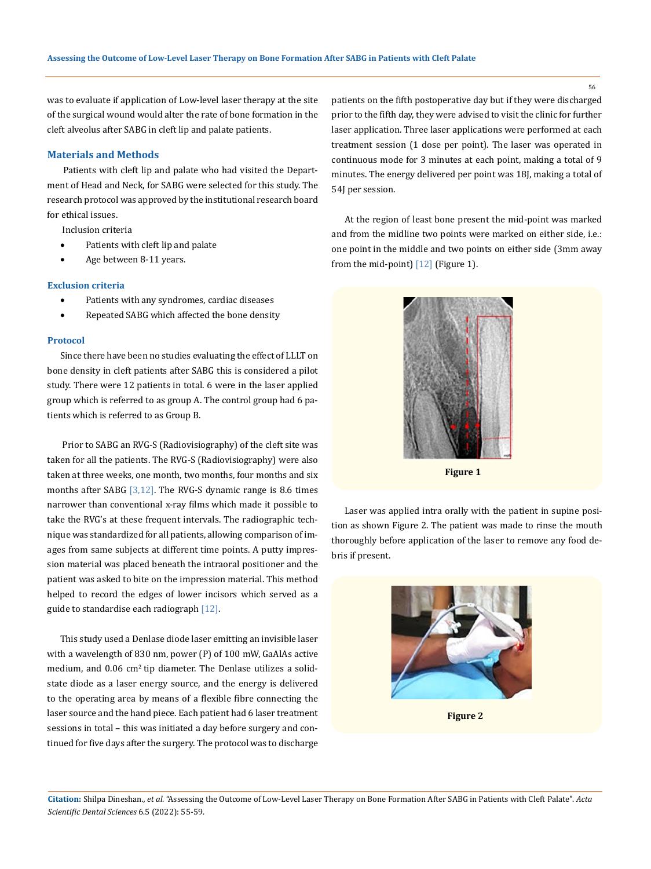was to evaluate if application of Low-level laser therapy at the site of the surgical wound would alter the rate of bone formation in the cleft alveolus after SABG in cleft lip and palate patients.

## **Materials and Methods**

Patients with cleft lip and palate who had visited the Department of Head and Neck, for SABG were selected for this study. The research protocol was approved by the institutional research board for ethical issues.

Inclusion criteria

- Patients with cleft lip and palate
- Age between 8-11 years.

## **Exclusion criteria**

- Patients with any syndromes, cardiac diseases
- Repeated SABG which affected the bone density

#### **Protocol**

Since there have been no studies evaluating the effect of LLLT on bone density in cleft patients after SABG this is considered a pilot study. There were 12 patients in total. 6 were in the laser applied group which is referred to as group A. The control group had 6 patients which is referred to as Group B.

 Prior to SABG an RVG-S (Radiovisiography) of the cleft site was taken for all the patients. The RVG-S (Radiovisiography) were also taken at three weeks, one month, two months, four months and six months after SABG  $[3,12]$ . The RVG-S dynamic range is 8.6 times narrower than conventional x-ray films which made it possible to take the RVG's at these frequent intervals. The radiographic technique was standardized for all patients, allowing comparison of images from same subjects at different time points. A putty impression material was placed beneath the intraoral positioner and the patient was asked to bite on the impression material. This method helped to record the edges of lower incisors which served as a guide to standardise each radiograph [12].

This study used a Denlase diode laser emitting an invisible laser with a wavelength of 830 nm, power (P) of 100 mW, GaAlAs active medium, and  $0.06 \text{ cm}^2$  tip diameter. The Denlase utilizes a solidstate diode as a laser energy source, and the energy is delivered to the operating area by means of a flexible fibre connecting the laser source and the hand piece. Each patient had 6 laser treatment sessions in total – this was initiated a day before surgery and continued for five days after the surgery. The protocol was to discharge patients on the fifth postoperative day but if they were discharged prior to the fifth day, they were advised to visit the clinic for further laser application. Three laser applications were performed at each treatment session (1 dose per point). The laser was operated in continuous mode for 3 minutes at each point, making a total of 9 minutes. The energy delivered per point was 18J, making a total of 54J per session.

At the region of least bone present the mid-point was marked and from the midline two points were marked on either side, i.e.: one point in the middle and two points on either side (3mm away from the mid-point) [12] (Figure 1).



Laser was applied intra orally with the patient in supine position as shown Figure 2. The patient was made to rinse the mouth thoroughly before application of the laser to remove any food debris if present.



**Figure 2**

56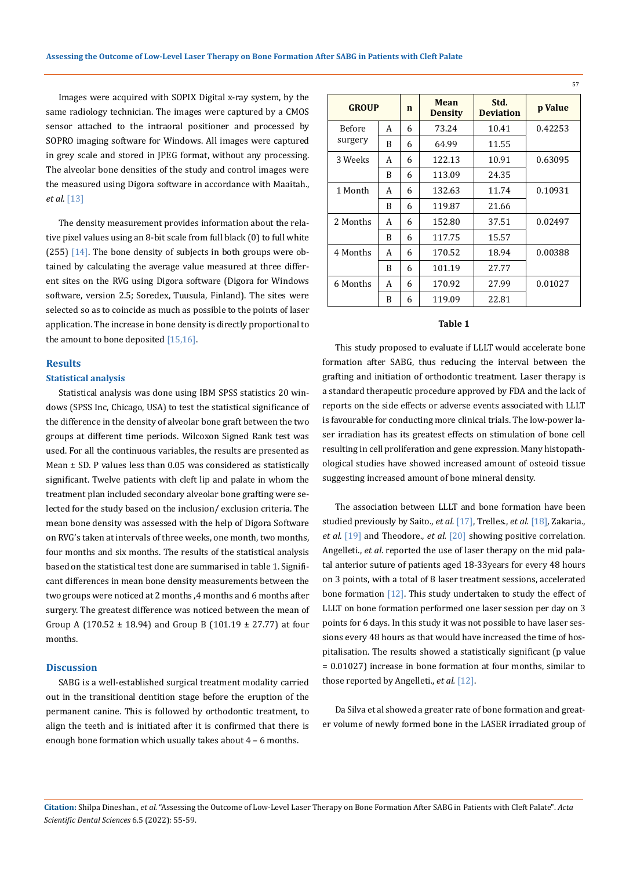Images were acquired with SOPIX Digital x-ray system, by the same radiology technician. The images were captured by a CMOS sensor attached to the intraoral positioner and processed by SOPRO imaging software for Windows. All images were captured in grey scale and stored in JPEG format, without any processing. The alveolar bone densities of the study and control images were the measured using Digora software in accordance with Maaitah., *et al*. [13]

The density measurement provides information about the relative pixel values using an 8-bit scale from full black (0) to full white (255)  $[14]$ . The bone density of subjects in both groups were obtained by calculating the average value measured at three different sites on the RVG using Digora software (Digora for Windows software, version 2.5; Soredex, Tuusula, Finland). The sites were selected so as to coincide as much as possible to the points of laser application. The increase in bone density is directly proportional to the amount to bone deposited  $[15,16]$ .

## **Results**

#### **Statistical analysis**

Statistical analysis was done using IBM SPSS statistics 20 windows (SPSS Inc, Chicago, USA) to test the statistical significance of the difference in the density of alveolar bone graft between the two groups at different time periods. Wilcoxon Signed Rank test was used. For all the continuous variables, the results are presented as Mean  $\pm$  SD. P values less than 0.05 was considered as statistically significant. Twelve patients with cleft lip and palate in whom the treatment plan included secondary alveolar bone grafting were selected for the study based on the inclusion/ exclusion criteria. The mean bone density was assessed with the help of Digora Software on RVG's taken at intervals of three weeks, one month, two months, four months and six months. The results of the statistical analysis based on the statistical test done are summarised in table 1. Significant differences in mean bone density measurements between the two groups were noticed at 2 months ,4 months and 6 months after surgery. The greatest difference was noticed between the mean of Group A (170.52 ± 18.94) and Group B (101.19 ± 27.77) at four months.

#### **Discussion**

SABG is a well-established surgical treatment modality carried out in the transitional dentition stage before the eruption of the permanent canine. This is followed by orthodontic treatment, to align the teeth and is initiated after it is confirmed that there is enough bone formation which usually takes about 4 – 6 months.

| <b>GROUP</b>             |   | $\mathbf n$ | Mean<br><b>Density</b> | Std.<br><b>Deviation</b> | <b>p</b> Value |
|--------------------------|---|-------------|------------------------|--------------------------|----------------|
| <b>Before</b><br>surgery | A | 6           | 73.24                  | 10.41                    | 0.42253        |
|                          | B | 6           | 64.99                  | 11.55                    |                |
| 3 Weeks                  | A | 6           | 122.13                 | 10.91                    | 0.63095        |
|                          | B | 6           | 113.09                 | 24.35                    |                |
| 1 Month                  | А | 6           | 132.63                 | 11.74                    | 0.10931        |
|                          | B | 6           | 119.87                 | 21.66                    |                |
| 2 Months                 | A | 6           | 152.80                 | 37.51                    | 0.02497        |
|                          | B | 6           | 117.75                 | 15.57                    |                |
| 4 Months                 | A | 6           | 170.52                 | 18.94                    | 0.00388        |
|                          | B | 6           | 101.19                 | 27.77                    |                |
| 6 Months                 | A | 6           | 170.92                 | 27.99                    | 0.01027        |
|                          | B | 6           | 119.09                 | 22.81                    |                |

## **Table 1**

This study proposed to evaluate if LLLT would accelerate bone formation after SABG, thus reducing the interval between the grafting and initiation of orthodontic treatment. Laser therapy is a standard therapeutic procedure approved by FDA and the lack of reports on the side effects or adverse events associated with LLLT is favourable for conducting more clinical trials. The low-power laser irradiation has its greatest effects on stimulation of bone cell resulting in cell proliferation and gene expression. Many histopathological studies have showed increased amount of osteoid tissue suggesting increased amount of bone mineral density.

The association between LLLT and bone formation have been studied previously by Saito., *et al.* [17], Trelles., *et al.* [18]*,* Zakaria., *et al.* [19] and Theodore., *et al.* [20] showing positive correlation*.*  Angelleti., *et al*. reported the use of laser therapy on the mid palatal anterior suture of patients aged 18-33years for every 48 hours on 3 points, with a total of 8 laser treatment sessions, accelerated bone formation [12]. This study undertaken to study the effect of LLLT on bone formation performed one laser session per day on 3 points for 6 days. In this study it was not possible to have laser sessions every 48 hours as that would have increased the time of hospitalisation. The results showed a statistically significant (p value = 0.01027) increase in bone formation at four months, similar to those reported by Angelleti., *et al.* [12].

Da Silva et al showed a greater rate of bone formation and greater volume of newly formed bone in the LASER irradiated group of

**Citation:** Shilpa Dineshan*., et al.* "Assessing the Outcome of Low-Level Laser Therapy on Bone Formation After SABG in Patients with Cleft Palate". *Acta Scientific Dental Sciences* 6.5 (2022): 55-59.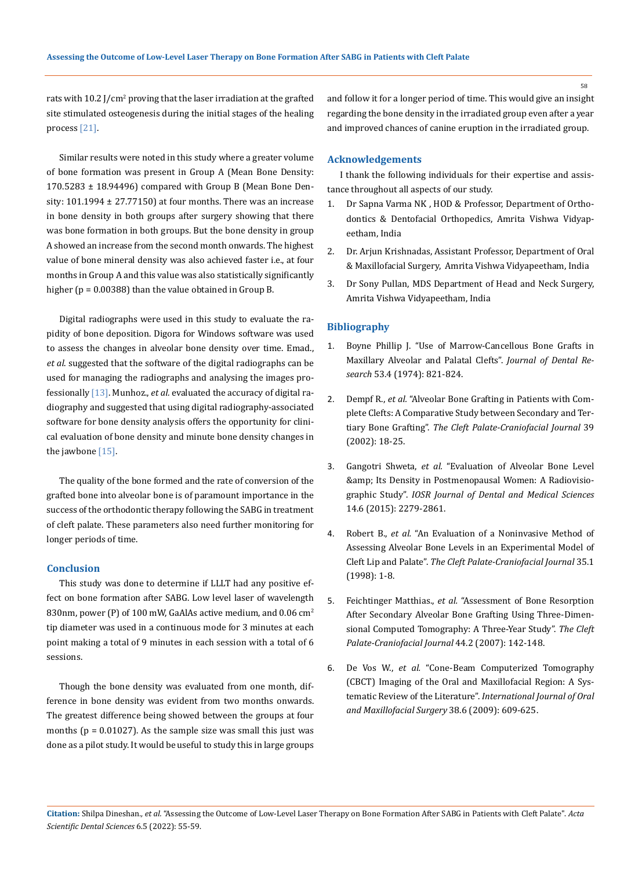rats with  $10.2$  J/cm<sup>2</sup> proving that the laser irradiation at the grafted site stimulated osteogenesis during the initial stages of the healing process [21].

Similar results were noted in this study where a greater volume of bone formation was present in Group A (Mean Bone Density:  $170.5283 \pm 18.94496$ ) compared with Group B (Mean Bone Density:  $101.1994 \pm 27.77150$ ) at four months. There was an increase in bone density in both groups after surgery showing that there was bone formation in both groups. But the bone density in group A showed an increase from the second month onwards. The highest value of bone mineral density was also achieved faster i.e., at four months in Group A and this value was also statistically significantly higher (p = 0.00388) than the value obtained in Group B.

Digital radiographs were used in this study to evaluate the rapidity of bone deposition. Digora for Windows software was used to assess the changes in alveolar bone density over time. Emad., *et al*. suggested that the software of the digital radiographs can be used for managing the radiographs and analysing the images professionally [13]. Munhoz., *et al.* evaluated the accuracy of digital radiography and suggested that using digital radiography-associated software for bone density analysis offers the opportunity for clinical evaluation of bone density and minute bone density changes in the jawbone [15].

The quality of the bone formed and the rate of conversion of the grafted bone into alveolar bone is of paramount importance in the success of the orthodontic therapy following the SABG in treatment of cleft palate. These parameters also need further monitoring for longer periods of time.

## **Conclusion**

This study was done to determine if LLLT had any positive effect on bone formation after SABG. Low level laser of wavelength 830nm, power (P) of 100 mW, GaAlAs active medium, and 0.06  $cm<sup>2</sup>$ tip diameter was used in a continuous mode for 3 minutes at each point making a total of 9 minutes in each session with a total of 6 sessions.

Though the bone density was evaluated from one month, difference in bone density was evident from two months onwards. The greatest difference being showed between the groups at four months ( $p = 0.01027$ ). As the sample size was small this just was done as a pilot study. It would be useful to study this in large groups and follow it for a longer period of time. This would give an insight regarding the bone density in the irradiated group even after a year and improved chances of canine eruption in the irradiated group.

## **Acknowledgements**

I thank the following individuals for their expertise and assistance throughout all aspects of our study.

- 1. Dr Sapna Varma NK , HOD & Professor, Department of Orthodontics & Dentofacial Orthopedics, Amrita Vishwa Vidyapeetham, India
- 2. Dr. Arjun Krishnadas, Assistant Professor, Department of Oral & Maxillofacial Surgery, Amrita Vishwa Vidyapeetham, India
- 3. Dr Sony Pullan, MDS Department of Head and Neck Surgery, Amrita Vishwa Vidyapeetham, India

#### **Bibliography**

- 1. [Boyne Phillip J. "Use of Marrow-Cancellous Bone Grafts in](https://pubmed.ncbi.nlm.nih.gov/4210487/)  [Maxillary Alveolar and Palatal Clefts".](https://pubmed.ncbi.nlm.nih.gov/4210487/) *Journal of Dental Research* [53.4 \(1974\): 821-824.](https://pubmed.ncbi.nlm.nih.gov/4210487/)
- 2. Dempf R., *et al.* ["Alveolar Bone Grafting in Patients with Com](https://pubmed.ncbi.nlm.nih.gov/11772165/)[plete Clefts: A Comparative Study between Secondary and Ter](https://pubmed.ncbi.nlm.nih.gov/11772165/)tiary Bone Grafting". *[The Cleft Palate-Craniofacial Journal](https://pubmed.ncbi.nlm.nih.gov/11772165/)* 39 [\(2002\): 18-25.](https://pubmed.ncbi.nlm.nih.gov/11772165/)
- 3. Gangotri Shweta, *et al.* ["Evaluation of Alveolar Bone Level](https://www.iosrjournals.org/iosr-jdms/papers/Vol14-issue6/Version-5/J014656164.pdf)  [& Its Density in Postmenopausal Women: A Radiovisio](https://www.iosrjournals.org/iosr-jdms/papers/Vol14-issue6/Version-5/J014656164.pdf)graphic Study". *[IOSR Journal of Dental and Medical Sciences](https://www.iosrjournals.org/iosr-jdms/papers/Vol14-issue6/Version-5/J014656164.pdf)* [14.6 \(2015\): 2279-2861.](https://www.iosrjournals.org/iosr-jdms/papers/Vol14-issue6/Version-5/J014656164.pdf)
- 4. Robert B., *et al.* ["An Evaluation of a Noninvasive Method of](https://pubmed.ncbi.nlm.nih.gov/9482217/)  [Assessing Alveolar Bone Levels in an Experimental Model of](https://pubmed.ncbi.nlm.nih.gov/9482217/)  Cleft Lip and Palate". *[The Cleft Palate-Craniofacial Journal](https://pubmed.ncbi.nlm.nih.gov/9482217/)* 35.1 [\(1998\): 1-8.](https://pubmed.ncbi.nlm.nih.gov/9482217/)
- 5. Feichtinger Matthias., *et al.* ["Assessment of Bone Resorption](https://pubmed.ncbi.nlm.nih.gov/17328652/)  [After Secondary Alveolar Bone Grafting Using Three-Dimen](https://pubmed.ncbi.nlm.nih.gov/17328652/)[sional Computed Tomography: A Three-Year Study".](https://pubmed.ncbi.nlm.nih.gov/17328652/) *The Cleft [Palate-Craniofacial Journal](https://pubmed.ncbi.nlm.nih.gov/17328652/)* 44.2 (2007): 142-148.
- 6. De Vos W., *et al.* ["Cone-Beam Computerized Tomography](https://pubmed.ncbi.nlm.nih.gov/19464146/)  [\(CBCT\) Imaging of the Oral and Maxillofacial Region: A Sys](https://pubmed.ncbi.nlm.nih.gov/19464146/)[tematic Review of the Literature".](https://pubmed.ncbi.nlm.nih.gov/19464146/) *International Journal of Oral [and Maxillofacial Surgery](https://pubmed.ncbi.nlm.nih.gov/19464146/)* 38.6 (2009): 609-625.

58